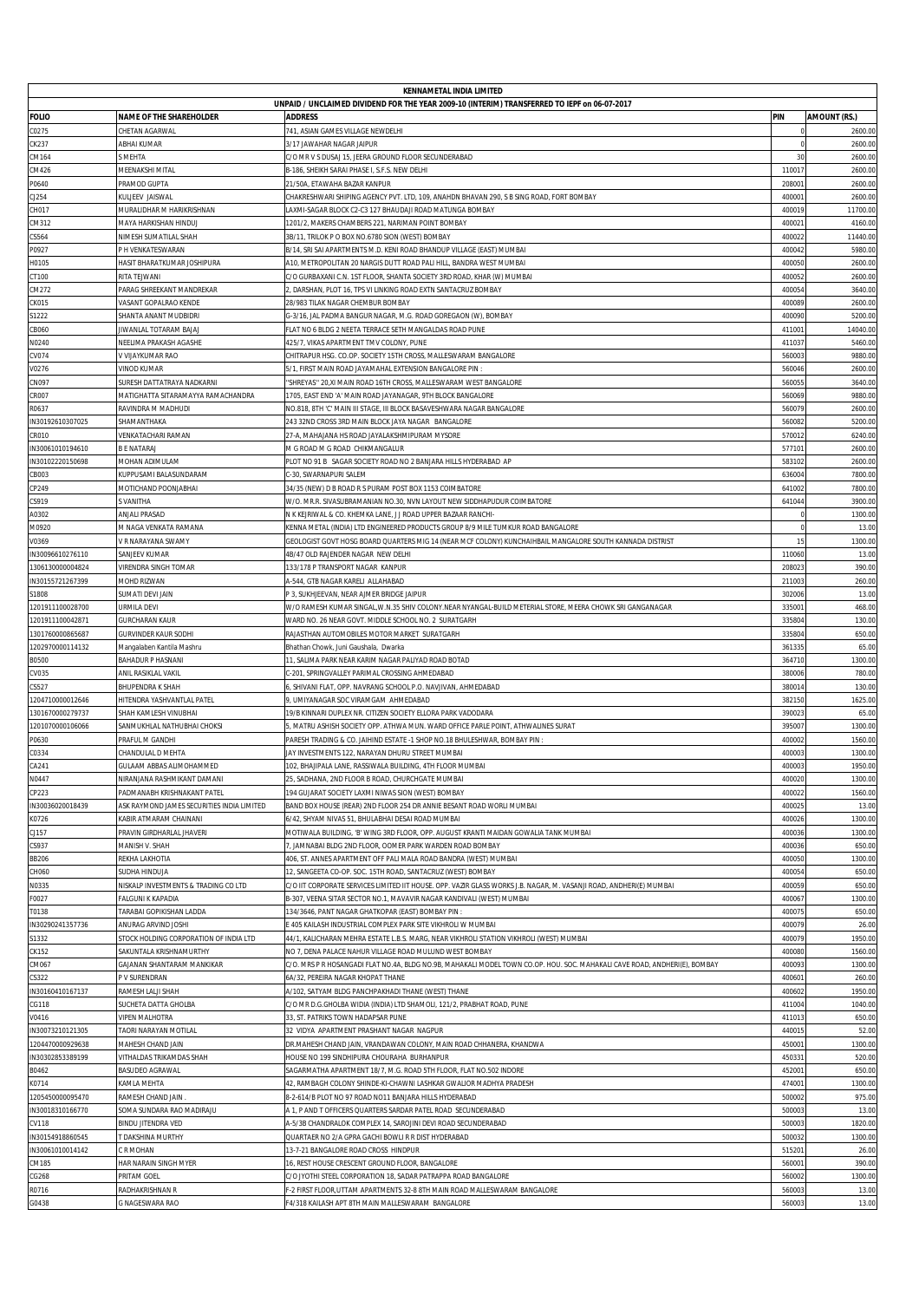| <b>KENNAMETAL INDIA LIMITED</b>      |                                                     |                                                                                                                                                              |                  |                                |  |  |  |  |  |  |
|--------------------------------------|-----------------------------------------------------|--------------------------------------------------------------------------------------------------------------------------------------------------------------|------------------|--------------------------------|--|--|--|--|--|--|
|                                      |                                                     | UNPAID / UNCLAIMED DIVIDEND FOR THE YEAR 2009-10 (INTERIM) TRANSFERRED TO IEPF on 06-07-2017                                                                 |                  |                                |  |  |  |  |  |  |
| <b>FOLIO</b><br>C0275                | <b>NAME OF THE SHAREHOLDER</b><br>CHETAN AGARWAL    | <b>ADDRESS</b><br>741, ASIAN GAMES VILLAGE NEWDELHI                                                                                                          | PIN              | <b>AMOUNT (RS.)</b><br>2600.00 |  |  |  |  |  |  |
| CK237                                | ABHAI KUMAR                                         | 3/17 JAWAHAR NAGAR JAIPUR                                                                                                                                    | $\Omega$         | 2600.00                        |  |  |  |  |  |  |
| CM164                                | MEHTA                                               | C/O MR V S DUSAJ 15, JEERA GROUND FLOOR SECUNDERABAD                                                                                                         | 30               | 2600.00                        |  |  |  |  |  |  |
| CM426                                | MEENAKSHI MITAL                                     | B-186, SHEIKH SARAI PHASE I, S.F.S. NEW DELHI                                                                                                                | 110017           | 2600.00                        |  |  |  |  |  |  |
| P0640                                | PRAMOD GUPTA                                        | 21/50A. ETAWAHA BAZAR KANPUR                                                                                                                                 | 20800            | 2600.00                        |  |  |  |  |  |  |
| CJ254<br>CH017                       | KULJEEV JAISWAL<br>MURALIDHAR M HARIKRISHNAN        | CHAKRESHWARI SHIPING AGENCY PVT. LTD, 109, ANAHDN BHAVAN 290, S B SING ROAD, FORT BOMBAY<br>LAXMI-SAGAR BLOCK C2-C3 127 BHAUDAJI ROAD MATUNGA BOMBAY         | 40000<br>40001   | 2600.00<br>11700.00            |  |  |  |  |  |  |
| CM312                                | MAYA HARKISHAN HINDUJ                               | 1201/2, MAKERS CHAMBERS 221, NARIMAN POINT BOMBAY                                                                                                            | 40002            | 4160.0                         |  |  |  |  |  |  |
| CS564                                | NIMESH SUMATILAL SHAH                               | 3B/11, TRILOK P O BOX NO.6780 SION (WEST) BOMBAY                                                                                                             | 40002            | 11440.0                        |  |  |  |  |  |  |
| P0927                                | P H VENKATESWARAN                                   | B/14, SRI SAI APARTMENTS M.D. KENI ROAD BHANDUP VILLAGE (EAST) MUMBAI                                                                                        | 400042           | 5980.00                        |  |  |  |  |  |  |
| H0105                                | HASIT BHARATKUMAR JOSHIPURA                         | A10. METROPOLITAN 20 NARGIS DUTT ROAD PALI HILL. BANDRA WEST MUMBAI                                                                                          | 400050           | 2600.00                        |  |  |  |  |  |  |
| CT100                                | RITA TEJWANI                                        | C/O GURBAXANI C.N. 1ST FLOOR, SHANTA SOCIETY 3RD ROAD, KHAR (W) MUMBAI                                                                                       | 40005<br>40005   | 2600.00<br>3640.00             |  |  |  |  |  |  |
| CM272<br><b>CK015</b>                | PARAG SHREEKANT MANDREKAR<br>VASANT GOPALRAO KENDE  | ), DARSHAN, PLOT 16, TPS VI LINKING ROAD EXTN SANTACRUZ BOMBAY<br>28/983 TILAK NAGAR CHEMBUR BOMBAY                                                          | 400089           | 2600.00                        |  |  |  |  |  |  |
| S1222                                | SHANTA ANANT MUDBIDRI                               | G-3/16, JAL PADMA BANGUR NAGAR, M.G. ROAD GOREGAON (W), BOMBAY                                                                                               | 400090           | 5200.00                        |  |  |  |  |  |  |
| CB060                                | IIWANLAL TOTARAM BAJAJ                              | FLAT NO 6 BLDG 2 NEETA TERRACE SETH MANGALDAS ROAD PUNE                                                                                                      | 41100            | 14040.00                       |  |  |  |  |  |  |
| N0240                                | NEELIMA PRAKASH AGASHE                              | 425/7, VIKAS APARTMENT TMV COLONY, PUNE                                                                                                                      | 411037           | 5460.00                        |  |  |  |  |  |  |
| CV074                                | V VIJAYKUMAR RAO                                    | CHITRAPUR HSG. CO.OP. SOCIETY 15TH CROSS, MALLESWARAM BANGALORE                                                                                              | 56000            | 9880.00                        |  |  |  |  |  |  |
| V0276<br>CN097                       | VINOD KUMAR<br>URESH DATTATRAYA NADKARNI            | 5/1, FIRST MAIN ROAD JAYAMAHAL EXTENSION BANGALORE PIN<br>"SHREYAS" 20, XI MAIN ROAD 16TH CROSS, MALLESWARAM WEST BANGALORE                                  | 560046<br>56005  | 2600.00<br>3640.00             |  |  |  |  |  |  |
| <b>CR007</b>                         | MATIGHATTA SITARAMAYYA RAMACHANDRA                  | 1705, EAST END 'A' MAIN ROAD JAYANAGAR, 9TH BLOCK BANGALORE                                                                                                  | 56006            | 9880.00                        |  |  |  |  |  |  |
| R0637                                | RAVINDRA M MADHUDI                                  | NO.818, 8TH 'C' MAIN III STAGE. III BLOCK BASAVESHWARA NAGAR BANGALORE                                                                                       | 56007            | 2600.00                        |  |  |  |  |  |  |
| IN30192610307025                     | SHAMANTHAKA                                         | 243 32ND CROSS 3RD MAIN BLOCK JAYA NAGAR BANGALORE                                                                                                           | 56008            | 5200.0                         |  |  |  |  |  |  |
| CR010                                | VENKATACHARI RAMAN                                  | 27-A, MAHAJANA HS ROAD JAYALAKSHMIPURAM MYSORE                                                                                                               | 570012           | 6240.00                        |  |  |  |  |  |  |
| IN30061010194610                     | <b>BE NATARAJ</b>                                   | M G ROAD M G ROAD CHIKMANGALUR                                                                                                                               | 57710            | 2600.00                        |  |  |  |  |  |  |
| IN30102220150698<br>CB003            | MOHAN ADIMULAM<br>KUPPUSAMI BALASUNDARAM            | PLOT NO 91 B SAGAR SOCIETY ROAD NO 2 BANJARA HILLS HYDERABAD AP<br>C-30, SWARNAPURI SALEM                                                                    | 58310<br>636004  | 2600.00<br>7800.00             |  |  |  |  |  |  |
| CP249                                | MOTICHAND POONJABHAI                                | 34/35 (NEW) D B ROAD R S PURAM POST BOX 1153 COIMBATORE                                                                                                      | 641002           | 7800.00                        |  |  |  |  |  |  |
| CS919                                | VANITHA                                             | W/O. MR.R. SIVASUBRAMANIAN NO.30, NVN LAYOUT NEW SIDDHAPUDUR COIMBATORE                                                                                      | 64104            | 3900.00                        |  |  |  |  |  |  |
| A0302                                | ANJALI PRASAD                                       | N K KEJRIWAL & CO. KHEMKA LANE, J J ROAD UPPER BAZAAR RANCHI-                                                                                                |                  | 1300.00                        |  |  |  |  |  |  |
| M0920                                | M NAGA VENKATA RAMANA                               | KENNA METAL (INDIA) LTD ENGINEERED PRODUCTS GROUP 8/9 MILE TUMKUR ROAD BANGALORE                                                                             |                  | 13.00                          |  |  |  |  |  |  |
| V0369                                | V R NARAYANA SWAMY                                  | GEOLOGIST GOVT HOSG BOARD QUARTERS MIG 14 (NEAR MCF COLONY) KUNCHAIHBAIL MANGALORE SOUTH KANNADA DISTRIST                                                    | 15               | 1300.00                        |  |  |  |  |  |  |
| IN30096610276110<br>1306130000004824 | SANJEEV KUMAR<br>VIRENDRA SINGH TOMAR               | 4B/47 OLD RAJENDER NAGAR NEW DELHI<br>133/178 P TRANSPORT NAGAR KANPUR                                                                                       | 110060<br>20802  | 13.00<br>390.00                |  |  |  |  |  |  |
| IN30155721267399                     | MOHD RIZWAN                                         | 4-544, GTB NAGAR KARELI ALLAHABAD                                                                                                                            | 211003           | 260.00                         |  |  |  |  |  |  |
| S1808                                | SUMATI DEVI JAIN                                    | P 3, SUKHJEEVAN, NEAR AJMER BRIDGE JAIPUR                                                                                                                    | 302006           | 13.00                          |  |  |  |  |  |  |
| 1201911100028700                     | URMILA DEVI                                         | W/O RAMESH KUMAR SINGAL,W.N.35 SHIV COLONY.NEAR NYANGAL-BUILD METERIAL STORE, MEERA CHOWK SRI GANGANAGAR                                                     | 33500            | 468.00                         |  |  |  |  |  |  |
| 1201911100042871                     | GURCHARAN KAUR                                      | WARD NO. 26 NEAR GOVT. MIDDLE SCHOOL NO. 2 SURATGARH                                                                                                         | 335804           | 130.00                         |  |  |  |  |  |  |
| 1301760000865687                     | GURVINDER KAUR SODHI                                | RAJASTHAN AUTOMOBILES MOTOR MARKET SURATGARH                                                                                                                 | 33580            | 650.00                         |  |  |  |  |  |  |
| 1202970000114132<br>B0500            | Mangalaben Kantila Mashru<br>BAHADUR P HASNANI      | Bhathan Chowk, Juni Gaushala, Dwarka<br>11, SALIMA PARK NEAR KARIM NAGAR PALIYAD ROAD BOTAD                                                                  | 361335<br>364710 | 65.00<br>1300.00               |  |  |  |  |  |  |
| CV035                                | ANIL RASIKLAL VAKIL                                 | :- 201, SPRINGVALLEY PARIMAL CROSSING AHMEDABAD                                                                                                              | 38000            | 780.00                         |  |  |  |  |  |  |
| CS527                                | BHUPENDRA K SHAH                                    | 5, SHIVANI FLAT, OPP. NAVRANG SCHOOL P.O. NAVJIVAN, AHMEDABAD                                                                                                | 38001            | 130.00                         |  |  |  |  |  |  |
| 1204710000012646                     | HITENDRA YASHVANTLAL PATEL                          | 9, UMIYANAGAR SOC VIRAMGAM AHMEDABAD                                                                                                                         | 382150           | 1625.00                        |  |  |  |  |  |  |
| 1301670000279737                     | SHAH KAMLESH VINUBHAI                               | 19/B KINNARI DUPLEX NR. CITIZEN SOCIETY ELLORA PARK VADODARA                                                                                                 | 390023           | 65.00                          |  |  |  |  |  |  |
| 1201070000106066<br>P0630            | SANMUKHLAL NATHUBHAI CHOKSI<br>PRAFUL M GANDHI      | . MATRU ASHISH SOCIETY OPP, ATHWA MUN, WARD OFFICE PARLE POINT, ATHWALINES SURAT<br>PARESH TRADING & CO. JAIHIND ESTATE -1 SHOP NO.18 BHULESHWAR, BOMBAY PIN | 39500<br>40000   | 1300.00<br>1560.00             |  |  |  |  |  |  |
| C0334                                | CHANDULAL D MEHTA                                   | JAY INVESTMENTS 122, NARAYAN DHURU STREET MUMBAI                                                                                                             | 40000            | 1300.00                        |  |  |  |  |  |  |
| CA241                                | GULAAM ABBAS ALIMOHAMMED                            | 102, BHAJIPALA LANE, RASSIWALA BUILDING, 4TH FLOOR MUMBAI                                                                                                    | 40000            | 1950.00                        |  |  |  |  |  |  |
| N0447                                | NIRANJANA RASHMIKANT DAMANI                         | 25, SADHANA, 2ND FLOOR B ROAD, CHURCHGATE MUMBAI                                                                                                             | 400020           | 1300.00                        |  |  |  |  |  |  |
| CP223                                | PADMANABH KRISHNAKANT PATEL                         | 194 GUJARAT SOCIETY LAXMI NIWAS SION (WEST) BOMBAY                                                                                                           | 400022           | 1560.00                        |  |  |  |  |  |  |
| IN30036020018439                     | ASK RAYMOND JAMES SECURITIES INDIA LIMITED          | BAND BOX HOUSE (REAR) 2ND FLOOR 254 DR ANNIE BESANT ROAD WORLI MUMBAI                                                                                        | 400025           | 13.00                          |  |  |  |  |  |  |
| K0726<br>CJ157                       | KABIR ATMARAM CHAINANI<br>PRAVIN GIRDHARLAL JHAVERI | 6/42, SHYAM NIVAS 51, BHULABHAI DESAI ROAD MUMBAI<br>MOTIWALA BUILDING, 'B' WING 3RD FLOOR, OPP. AUGUST KRANTI MAIDAN GOWALIA TANK MUMBAI                    | 400026<br>400036 | 1300.00<br>1300.00             |  |  |  |  |  |  |
| CS937                                | MANISH V. SHAH                                      | 7, JAMNABAI BLDG 2ND FLOOR, OOMER PARK WARDEN ROAD BOMBAY                                                                                                    | 40003            | 650.00                         |  |  |  |  |  |  |
| <b>BB206</b>                         | REKHA LAKHOTIA                                      | 406, ST. ANNES APARTMENT OFF PALI MALA ROAD BANDRA (WEST) MUMBAI                                                                                             | 400050           | 1300.00                        |  |  |  |  |  |  |
| CH060                                | SUDHA HINDUJA                                       | 12, SANGEETA CO-OP. SOC. 15TH ROAD, SANTACRUZ (WEST) BOMBAY                                                                                                  | 400054           | 650.00                         |  |  |  |  |  |  |
| N0335                                | NISKALP INVESTMENTS & TRADING CO LTD                | C/O IIT CORPORATE SERVICES LIMITED IIT HOUSE. OPP. VAZIR GLASS WORKS J.B. NAGAR, M. VASANJI ROAD, ANDHERI(E) MUMBAI                                          | 400059           | 650.00                         |  |  |  |  |  |  |
| F0027<br>T0138                       | FALGUNI K KAPADIA<br>TARABAI GOPIKISHAN LADDA       | B-307, VEENA SITAR SECTOR NO.1, MAVAVIR NAGAR KANDIVALI (WEST) MUMBAI<br>134/3646, PANT NAGAR GHATKOPAR (EAST) BOMBAY PIN                                    | 400067<br>40007  | 1300.00<br>650.00              |  |  |  |  |  |  |
| IN30290241357736                     | ANURAG ARVIND JOSHI                                 | E 405 KAILASH INDUSTRIAL COMPLEX PARK SITE VIKHROLI W MUMBAI                                                                                                 | 40007            | 26.00                          |  |  |  |  |  |  |
| S1332                                | STOCK HOLDING CORPORATION OF INDIA LTD              | 44/1, KALICHARAN MEHRA ESTATE L.B.S. MARG, NEAR VIKHROLI STATION VIKHROLI (WEST) MUMBAI                                                                      | 40007            | 1950.00                        |  |  |  |  |  |  |
| CK152                                | SAKUNTALA KRISHNAMURTHY                             | NO 7, DENA PALACE NAHUR VILLAGE ROAD MULUND WEST BOMBAY                                                                                                      | 400080           | 1560.00                        |  |  |  |  |  |  |
| CM067                                | GAJANAN SHANTARAM MANKIKAR                          | C/O. MRS P R HOSANGADI FLAT NO.4A, BLDG NO.9B, MAHAKALI MODEL TOWN CO.OP. HOU. SOC. MAHAKALI CAVE ROAD, ANDHERI(E), BOMBAY                                   | 400093           | 1300.00                        |  |  |  |  |  |  |
| CS322                                | P V SURENDRAN                                       | 6A/32, PEREIRA NAGAR KHOPAT THANE                                                                                                                            | 40060            | 260.00                         |  |  |  |  |  |  |
| IN30160410167137<br>CG118            | RAMESH LALJI SHAH<br>SUCHETA DATTA GHOLBA           | A/102, SATYAM BLDG PANCHPAKHADI THANE (WEST) THANE<br>C/O MR D.G.GHOLBA WIDIA (INDIA) LTD SHAMOLI, 121/2, PRABHAT ROAD, PUNE                                 | 400602<br>411004 | 1950.00<br>1040.00             |  |  |  |  |  |  |
| V0416                                | VIPEN MALHOTRA                                      | 33, ST. PATRIKS TOWN HADAPSAR PUNE                                                                                                                           | 41101            | 650.00                         |  |  |  |  |  |  |
| IN30073210121305                     | TAORI NARAYAN MOTILAL                               | 32 VIDYA APARTMENT PRASHANT NAGAR NAGPUR                                                                                                                     | 44001            | 52.00                          |  |  |  |  |  |  |
| 1204470000929638                     | MAHESH CHAND JAIN                                   | DR.MAHESH CHAND JAIN, VRANDAWAN COLONY, MAIN ROAD CHHANERA, KHANDWA                                                                                          | 45000            | 1300.00                        |  |  |  |  |  |  |
| IN30302853389199                     | VITHALDAS TRIKAMDAS SHAH                            | HOUSE NO 199 SINDHIPURA CHOURAHA BURHANPUR                                                                                                                   | 45033            | 520.00                         |  |  |  |  |  |  |
| B0462                                | BASUDEO AGRAWAL                                     | SAGARMATHA APARTMENT 18/7, M.G. ROAD 5TH FLOOR, FLAT NO.502 INDORE                                                                                           | 45200            | 650.00                         |  |  |  |  |  |  |
| K0714<br>1205450000095470            | KAMLA MEHTA<br>RAMESH CHAND JAIN                    | 42, RAMBAGH COLONY SHINDE-KI-CHAWNI LASHKAR GWALIOR MADHYA PRADESH<br>8-2-614/B PLOT NO 97 ROAD NO11 BANJARA HILLS HYDERABAD                                 | 47400<br>50000   | 1300.00<br>975.00              |  |  |  |  |  |  |
| IN30018310166770                     | SOMA SUNDARA RAO MADIRAJU                           | A 1, P AND T OFFICERS QUARTERS SARDAR PATEL ROAD SECUNDERABAD                                                                                                | 50000            | 13.00                          |  |  |  |  |  |  |
| <b>CV118</b>                         | BINDU JITENDRA VED                                  | 4-5/3B CHANDRALOK COMPLEX 14, SAROJINI DEVI ROAD SECUNDERABAD                                                                                                | 50000            | 1820.00                        |  |  |  |  |  |  |
| IN30154918860545                     | DAKSHINA MURTHY                                     | QUARTAER NO 2/A GPRA GACHI BOWLI R R DIST HYDERABAD                                                                                                          | 50003            | 1300.00                        |  |  |  |  |  |  |
| IN30061010014142                     | C R MOHAN                                           | 13-7-21 BANGALORE ROAD CROSS HINDPUR                                                                                                                         | 51520            | 26.00                          |  |  |  |  |  |  |
| CM185                                | HAR NARAIN SINGH MYER                               | 16, REST HOUSE CRESCENT GROUND FLOOR, BANGALORE                                                                                                              | 56000            | 390.00                         |  |  |  |  |  |  |
| CG268<br>R0716                       | PRITAM GOEL<br>RADHAKRISHNAN R                      | C/O JYOTHI STEEL CORPORATION 18, SADAR PATRAPPA ROAD BANGALORE<br>-2 FIRST FLOOR, UTTAM APARTMENTS 32-8 8TH MAIN ROAD MALLESWARAM BANGALORE                  | 560002<br>560003 | 1300.00<br>13.00               |  |  |  |  |  |  |
| G0438                                | <b>GNAGESWARA RAO</b>                               | 4/318 KAILASH APT 8TH MAIN MALLESWARAM BANGALORE                                                                                                             | 560003           | 13.00                          |  |  |  |  |  |  |
|                                      |                                                     |                                                                                                                                                              |                  |                                |  |  |  |  |  |  |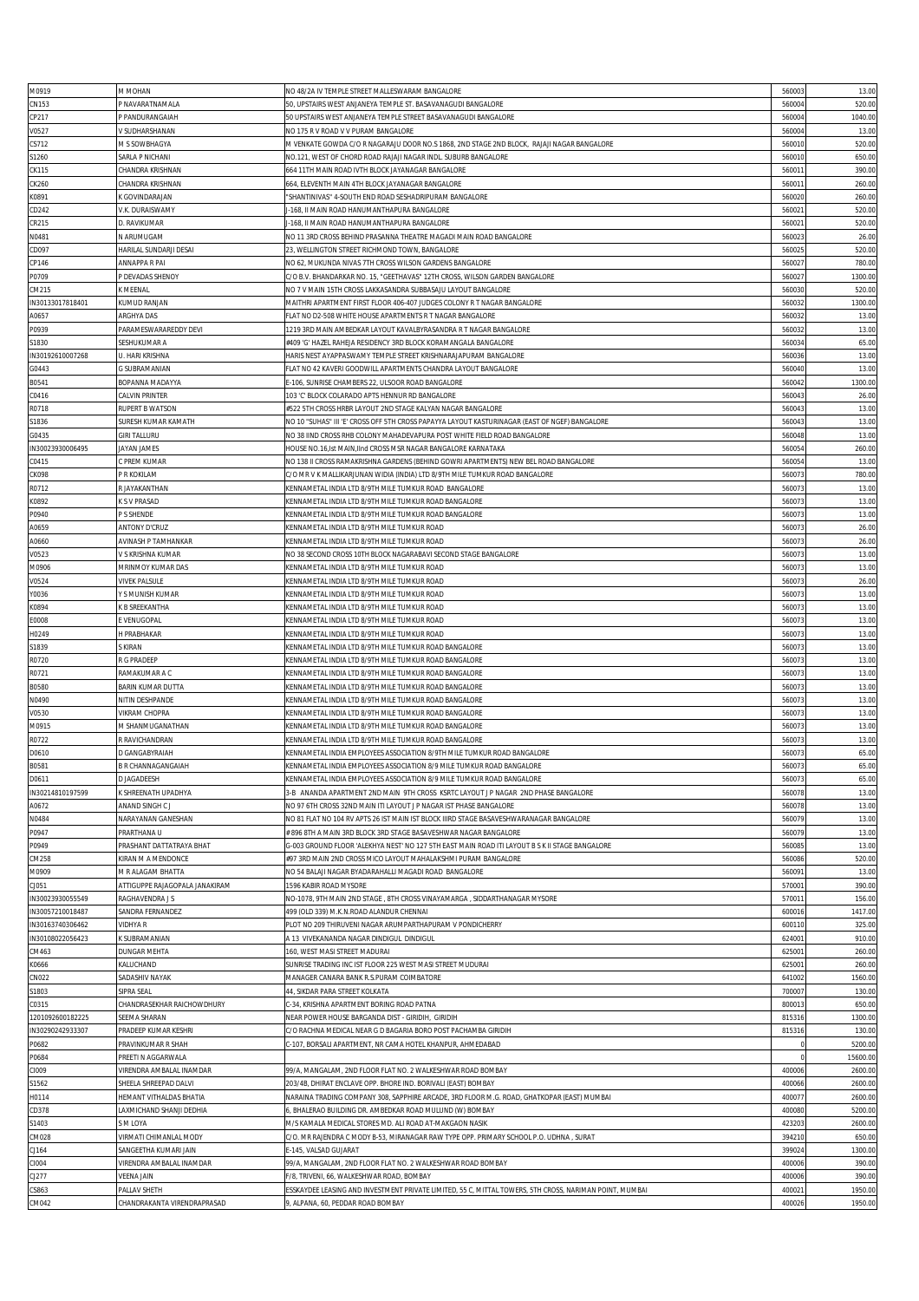|                  |                                |                                                                                                         | 560003 |         |
|------------------|--------------------------------|---------------------------------------------------------------------------------------------------------|--------|---------|
| M0919            | M MOHAN                        | NO 48/2A IV TEMPLE STREET MALLESWARAM BANGALORE                                                         |        | 13.00   |
| CN153            | P NAVARATNAMALA                | 50, UPSTAIRS WEST ANJANEYA TEMPLE ST. BASAVANAGUDI BANGALORE                                            | 56000  | 520.00  |
| CP217            | P PANDURANGAIAH                | 50 UPSTAIRS WEST ANJANEYA TEMPLE STREET BASAVANAGUDI BANGALORE                                          | 560004 | 1040.0  |
| V0527            | V SUDHARSHANAN                 | NO 175 R V ROAD V V PURAM BANGALORE                                                                     | 560004 | 13.00   |
| CS712            | M S SOWBHAGYA                  | M VENKATE GOWDA C/O R NAGARAJU DOOR NO.S 1868, 2ND STAGE 2ND BLOCK, RAJAJI NAGAR BANGALORE              | 560010 | 520.00  |
| \$1260           | SARLA P NICHANI                | NO.121, WEST OF CHORD ROAD RAJAJI NAGAR INDL. SUBURB BANGALORE                                          | 560010 | 650.00  |
| CK115            | CHANDRA KRISHNAN               | 664 11TH MAIN ROAD IVTH BLOCK JAYANAGAR BANGALORE                                                       | 56001  | 390.00  |
| CK260            | CHANDRA KRISHNAN               | 664, ELEVENTH MAIN 4TH BLOCK JAYANAGAR BANGALORE                                                        | 56001  | 260.0   |
|                  | K GOVINDARAJAN                 | 'SHANTINIVAS" 4-SOUTH END ROAD SESHADRIPURAM BANGALORE                                                  | 56002  | 260.0   |
| K0891            |                                |                                                                                                         |        |         |
| CD242            | V.K. DURAISWAMY                | I-168, II MAIN ROAD HANUMANTHAPURA BANGALORE                                                            | 56002  | 520.0   |
| CR215            | D. RAVIKUMAR                   | J-168, II MAIN ROAD HANUMANTHAPURA BANGALORE                                                            | 56002  | 520.00  |
| N0481            | N ARUMUGAM                     | NO 11 3RD CROSS BEHIND PRASANNA THEATRE MAGADI MAIN ROAD BANGALORE                                      | 560023 | 26.00   |
| CD097            | HARILAL SUNDARJI DESAI         | 23. WELLINGTON STREET RICHMOND TOWN. BANGALORE                                                          | 56002  | 520.00  |
| CP146            | ANNAPPA R PAI                  | NO 62, MUKUNDA NIVAS 7TH CROSS WILSON GARDENS BANGALORE                                                 | 56002  | 780.00  |
| P0709            | P DEVADAS SHENOY               | C/O B.V. BHANDARKAR NO. 15, "GEETHAVAS" 12TH CROSS, WILSON GARDEN BANGALORE                             | 56002  | 1300.0  |
| CM215            | K MEENAL                       | NO 7 V MAIN 15TH CROSS LAKKASANDRA SUBBASAJU LAYOUT BANGALORE                                           | 56003  | 520.0   |
| IN30133017818401 | KUMUD RANJAN                   | MAITHRI APARTMENT FIRST FLOOR 406-407 JUDGES COLONY R T NAGAR BANGALORE                                 | 56003  | 1300.0  |
|                  |                                |                                                                                                         |        |         |
| A0657            | ARGHYA DAS                     | FLAT NO D2-508 WHITE HOUSE APARTMENTS R T NAGAR BANGALORE                                               | 56003  | 13.00   |
| P0939            | PARAMESWARAREDDY DEVI          | 1219 3RD MAIN AMBEDKAR LAYOUT KAVALBYRASANDRA R T NAGAR BANGALORE                                       | 560032 | 13.00   |
| S1830            | SESHUKUMAR A                   | #409 'G' HAZEL RAHEJA RESIDENCY 3RD BLOCK KORAMANGALA BANGALORE                                         | 56003  | 65.00   |
| IN30192610007268 | U. HARI KRISHNA                | HARIS NEST AYAPPASWAMY TEMPLE STREET KRISHNARAJAPURAM BANGALORE                                         | 560036 | 13.00   |
| G0443            | G SUBRAMANIAN                  | FLAT NO 42 KAVERI GOODWILL APARTMENTS CHANDRA LAYOUT BANGALORE                                          | 560040 | 13.00   |
| B0541            | BOPANNA MADAYYA                | E-106, SUNRISE CHAMBERS 22, ULSOOR ROAD BANGALORE                                                       | 56004  | 1300.0  |
| C0416            | <b>CALVIN PRINTER</b>          | 103 'C' BLOCK COLARADO APTS HENNUR RD BANGALORE                                                         | 560043 | 26.0    |
| R0718            | RUPERT B WATSON                | #522 5TH CROSS HRBR LAYOUT 2ND STAGE KALYAN NAGAR BANGALORE                                             | 56004  | 13.00   |
| S1836            | SURESH KUMAR KAMATH            | NO 10 "SUHAS" III 'E' CROSS OFF 5TH CROSS PAPAYYA LAYOUT KASTURINAGAR (EAST OF NGEF) BANGALORE          | 560043 | 13.00   |
| G0435            | <b>GIRI TALLURU</b>            | NO 38 IIND CROSS RHB COLONY MAHADEVAPURA POST WHITE FIELD ROAD BANGALORE                                | 560048 | 13.00   |
|                  |                                | HOUSE NO.16, Ist MAIN, IInd CROSS MSR NAGAR BANGALORE KARNATAKA                                         |        | 260.00  |
| IN30023930006495 | JAYAN JAMES                    |                                                                                                         | 56005  |         |
| C0415            | C PREM KUMAR                   | NO 138 II CROSS RAMAKRISHNA GARDENS (BEHIND GOWRI APARTMENTS) NEW BEL ROAD BANGALORE                    | 56005  | 13.00   |
| CK098            | P R KOKILAM                    | C/O MR V K MALLIKARJUNAN WIDIA (INDIA) LTD 8/9TH MILE TUMKUR ROAD BANGALORE                             | 56007  | 780.0   |
| R0712            | R JAYAKANTHAN                  | KENNAMETAL INDIA LTD 8/9TH MILE TUMKUR ROAD BANGALORE                                                   | 56007  | 13.00   |
| K0892            | K S V PRASAD                   | KENNAMETAL INDIA LTD 8/9TH MILE TUMKUR ROAD BANGALORE                                                   | 560073 | 13.00   |
| P0940            | P S SHENDE                     | KENNAMETAL INDIA LTD 8/9TH MILE TUMKUR ROAD BANGALORE                                                   | 560073 | 13.00   |
| A0659            | <b>ANTONY D'CRUZ</b>           | KENNAMETAL INDIA LTD 8/9TH MILE TUMKUR ROAD                                                             | 56007  | 26.00   |
| A0660            | AVINASH P TAMHANKAR            | KENNAMETAL INDIA LTD 8/9TH MILE TUMKUR ROAD                                                             | 56007  | 26.00   |
|                  |                                |                                                                                                         | 56007  | 13.00   |
| V0523            | V S KRISHNA KUMAR              | NO 38 SECOND CROSS 10TH BLOCK NAGARABAVI SECOND STAGE BANGALORE                                         |        |         |
| M0906            | MRINMOY KUMAR DAS              | KENNAMETAL INDIA LTD 8/9TH MILE TUMKUR ROAD                                                             | 56007  | 13.00   |
| V0524            | <b>VIVEK PALSULE</b>           | KENNAMETAL INDIA LTD 8/9TH MILE TUMKUR ROAD                                                             | 56007  | 26.00   |
| Y0036            | Y S MUNISH KUMAR               | KENNAMETAL INDIA LTD 8/9TH MILE TUMKUR ROAD                                                             | 56007  | 13.00   |
| K0894            | K B SREEKANTHA                 | KENNAMETAL INDIA LTD 8/9TH MILE TUMKUR ROAD                                                             | 56007  | 13.00   |
| E0008            | E VENUGOPAL                    | KENNAMETAL INDIA LTD 8/9TH MILE TUMKUR ROAD                                                             | 56007  | 13.00   |
| H0249            | H PRABHAKAR                    | KENNAMETAL INDIA LTD 8/9TH MILE TUMKUR ROAD                                                             | 56007  | 13.00   |
| S1839            | S KIRAN                        | KENNAMETAL INDIA LTD 8/9TH MILE TUMKUR ROAD BANGALORE                                                   | 56007  | 13.00   |
| R0720            | R G PRADEEP                    | KENNAMETAL INDIA LTD 8/9TH MILE TUMKUR ROAD BANGALORE                                                   | 56007  | 13.00   |
| R0721            | RAMAKUMAR A C                  | KENNAMETAL INDIA LTD 8/9TH MILE TUMKUR ROAD BANGALORE                                                   | 56007  | 13.00   |
|                  |                                |                                                                                                         |        |         |
| B0580            | BARIN KUMAR DUTTA              | KENNAMETAL INDIA LTD 8/9TH MILE TUMKUR ROAD BANGALORE                                                   | 56007  | 13.00   |
| N0490            | NITIN DESHPANDE                | KENNAMETAL INDIA LTD 8/9TH MILE TUMKUR ROAD BANGALORE                                                   | 56007  | 13.00   |
| V0530            | <b>VIKRAM CHOPRA</b>           | KENNAMETAL INDIA LTD 8/9TH MILE TUMKUR ROAD BANGALORE                                                   | 56007  | 13.00   |
| M0915            | M SHANMUGANATHAN               | KENNAMETAL INDIA LTD 8/9TH MILE TUMKUR ROAD BANGALORE                                                   | 56007  | 13.00   |
| R0722            | R RAVICHANDRAN                 | KENNAMETAL INDIA LTD 8/9TH MILE TUMKUR ROAD BANGALORE                                                   | 56007  | 13.00   |
| D0610            | D GANGABYRAIAH                 | KENNAMETAL INDIA EMPLOYEES ASSOCIATION 8/9TH MILE TUMKUR ROAD BANGALORE                                 | 56007  | 65.00   |
| B0581            | <b>B R CHANNAGANGAIAH</b>      | KENNAMETAL INDIA EMPLOYEES ASSOCIATION 8/9 MILE TUMKUR ROAD BANGALORE                                   | 560073 | 65.00   |
| D0611            | <b>D JAGADEESH</b>             | KENNAMETAL INDIA EMPLOYEES ASSOCIATION 8/9 MILE TUMKUR ROAD BANGALORE                                   | 560073 | 65.00   |
| IN30214810197599 | K SHREENATH UPADHYA            | 3-B ANANDA APARTMENT 2ND MAIN 9TH CROSS KSRTC LAYOUT J P NAGAR 2ND PHASE BANGALORE                      | 560078 | 13.00   |
|                  | ANAND SINGH C J                | NO 97 6TH CROSS 32ND MAIN ITI LAYOUT J P NAGAR IST PHASE BANGALORE                                      | 56007  | 13.00   |
| A0672            |                                |                                                                                                         |        |         |
| N0484            | NARAYANAN GANESHAN             | NO 81 FLAT NO 104 RV APTS 26 IST MAIN IST BLOCK IIIRD STAGE BASAVESHWARANAGAR BANGALORE                 | 56007  | 13.00   |
| P0947            | PRARTHANA U                    | # 896 8TH A MAIN 3RD BLOCK 3RD STAGE BASAVESHWAR NAGAR BANGALORE                                        | 56007  | 13.00   |
| P0949            | PRASHANT DATTATRAYA BHAT       | G-003 GROUND FLOOR 'ALEKHYA NEST' NO 127 5TH EAST MAIN ROAD ITI LAYOUT B S K II STAGE BANGALORE         | 56008  | 13.00   |
| CM258            | KIRAN M A MENDONCE             | #97 3RD MAIN 2ND CROSS MICO LAYOUT MAHALAKSHMI PURAM BANGALORE                                          | 560086 | 520.00  |
| M0909            | M R ALAGAM BHATTA              | NO 54 BALAJI NAGAR BYADARAHALLI MAGADI ROAD BANGALORE                                                   | 56009  | 13.00   |
| CJ051            | ATTIGUPPE RAJAGOPALA JANAKIRAM | 1596 KABIR ROAD MYSORE                                                                                  | 57000  | 390.00  |
| IN30023930055549 | RAGHAVENDRA J S                | NO-1078, 9TH MAIN 2ND STAGE , 8TH CROSS VINAYAMARGA , SIDDARTHANAGAR MYSORE                             | 57001  | 156.00  |
| IN30057210018487 | SANDRA FERNANDEZ               | 499 (OLD 339) M.K.N.ROAD ALANDUR CHENNAI                                                                | 60001  | 1417.0  |
| IN30163740306462 | VIDHYA R                       | PLOT NO 209 THIRUVENI NAGAR ARUMPARTHAPURAM V PONDICHERRY                                               | 600110 | 325.0   |
|                  |                                | A 13 VIVEKANANDA NAGAR DINDIGUL DINDIGUL                                                                |        | 910.0   |
| IN30108022056423 | K SUBRAMANIAN                  |                                                                                                         | 62400  |         |
| CM463            | DUNGAR MEHTA                   | 160, WEST MASI STREET MADURAI                                                                           | 62500  | 260.0   |
| K0666            | KALUCHAND                      | SUNRISE TRADING INC IST FLOOR 225 WEST MASI STREET MUDURAI                                              | 62500  | 260.00  |
| CN022            | SADASHIV NAYAK                 | MANAGER CANARA BANK R.S.PURAM COIMBATORE                                                                | 641002 | 1560.00 |
| S1803            | SIPRA SEAL                     | 44, SIKDAR PARA STREET KOLKATA                                                                          | 70000  | 130.00  |
| C0315            | CHANDRASEKHAR RAICHOWDHURY     | :-34, KRISHNA APARTMENT BORING ROAD PATNA                                                               | 80001  | 650.0   |
| 1201092600182225 | SEEMA SHARAN                   | NEAR POWER HOUSE BARGANDA DIST - GIRIDIH, GIRIDIH                                                       | 815316 | 1300.0  |
| IN30290242933307 | PRADEEP KUMAR KESHRI           | C/O RACHNA MEDICAL NEAR G D BAGARIA BORO POST PACHAMBA GIRIDIH                                          | 815316 | 130.0   |
| P0682            | PRAVINKUMAR R SHAH             | :-107, BORSALI APARTMENT, NR CAMA HOTEL KHANPUR, AHMEDABAD                                              |        | 5200.0  |
| P0684            | PREETI N AGGARWALA             |                                                                                                         |        | 15600.0 |
| CI009            | VIRENDRA AMBALAL INAMDAR       | 99/A, MANGALAM, 2ND FLOOR FLAT NO. 2 WALKESHWAR ROAD BOMBAY                                             | 400006 | 2600.0  |
|                  |                                |                                                                                                         |        |         |
| S1562            | SHEELA SHREEPAD DALVI          | 203/4B, DHIRAT ENCLAVE OPP. BHORE IND. BORIVALI (EAST) BOMBAY                                           | 40006  | 2600.0  |
| H0114            | HEMANT VITHALDAS BHATIA        | NARAINA TRADING COMPANY 308, SAPPHIRE ARCADE, 3RD FLOOR M.G. ROAD, GHATKOPAR (EAST) MUMBAI              | 40007  | 2600.0  |
| CD378            | LAXMICHAND SHANJI DEDHIA       | , BHALERAO BUILDING DR. AMBEDKAR ROAD MULUND (W) BOMBAY                                                 | 40008  | 5200.0  |
| S1403            | S M LOYA                       | M/S KAMALA MEDICAL STORES MD. ALI ROAD AT-MAKGAON NASIK                                                 | 42320  | 2600.0  |
| CM028            | VIRMATI CHIMANLAL MODY         | C/O. MR RAJENDRA C MODY B-53, MIRANAGAR RAW TYPE OPP. PRIMARY SCHOOL P.O. UDHNA , SURAT                 | 394210 | 650.0   |
| CJ164            | SANGEETHA KUMARI JAIN          | E-145, VALSAD GUJARAT                                                                                   | 39902  | 1300.00 |
| CI004            | VIRENDRA AMBALAL INAMDAR       | 99/A, MANGALAM, 2ND FLOOR FLAT NO. 2 WALKESHWAR ROAD BOMBAY                                             | 400006 | 390.00  |
| CJ277            | VEENA JAIN                     | F/8, TRIVENI, 66, WALKESHWAR ROAD, BOMBAY                                                               | 40000  | 390.00  |
| CS863            | PALLAV SHETH                   | ESSKAYDEE LEASING AND INVESTMENT PRIVATE LIMITED, 55 C, MITTAL TOWERS, 5TH CROSS, NARIMAN POINT, MUMBAI | 40002  | 1950.00 |
| CM042            |                                |                                                                                                         |        |         |
|                  | CHANDRAKANTA VIRENDRAPRASAD    | , ALPANA, 60, PEDDAR ROAD BOMBAY                                                                        | 400026 | 1950.00 |